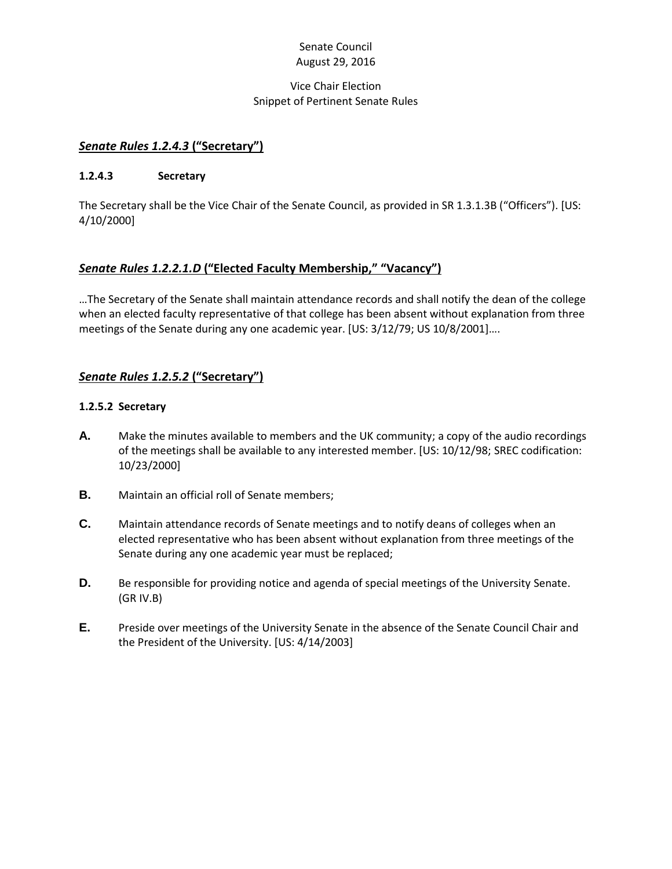### Senate Council August 29, 2016

#### Vice Chair Election Snippet of Pertinent Senate Rules

### *Senate Rules 1.2.4.3* **("Secretary")**

#### **1.2.4.3 Secretary**

The Secretary shall be the Vice Chair of the Senate Council, as provided in SR 1.3.1.3B ("Officers"). [US: 4/10/2000]

## *Senate Rules 1.2.2.1.D* **("Elected Faculty Membership," "Vacancy")**

…The Secretary of the Senate shall maintain attendance records and shall notify the dean of the college when an elected faculty representative of that college has been absent without explanation from three meetings of the Senate during any one academic year. [US: 3/12/79; US 10/8/2001]….

## *Senate Rules 1.2.5.2* **("Secretary")**

#### **1.2.5.2 Secretary**

- **A.** Make the minutes available to members and the UK community; a copy of the audio recordings of the meetings shall be available to any interested member. [US: 10/12/98; SREC codification: 10/23/2000]
- **B.** Maintain an official roll of Senate members;
- **C.** Maintain attendance records of Senate meetings and to notify deans of colleges when an elected representative who has been absent without explanation from three meetings of the Senate during any one academic year must be replaced;
- **D.** Be responsible for providing notice and agenda of special meetings of the University Senate. (GR IV.B)
- **E.** Preside over meetings of the University Senate in the absence of the Senate Council Chair and the President of the University. [US: 4/14/2003]